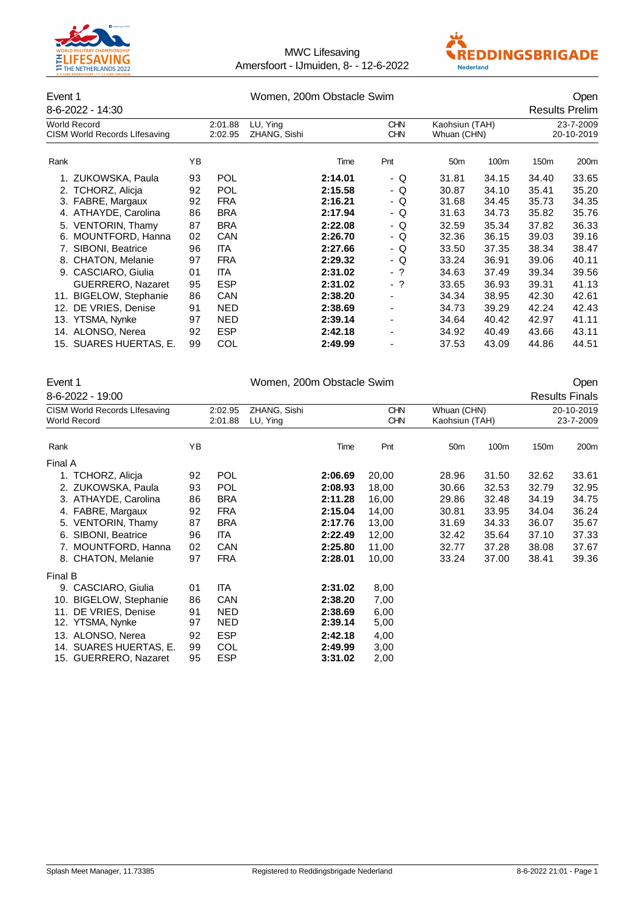



### Event 1 Communication of the U.S. Communication of the Women, 200m Obstacle Swim Communication of the U.S. Communication of the U.S. Communication of the U.S. Communication of the U.S. Communication of the U.S. Communicati 8-6-2022 - 14:30 Results Prelim Norld Record 2:01.88 LU, Ying CHN Kaohsiun (TAH) 23-7-2009<br>CISM World Records Lifesaving 2:02.95 ZHANG, Sishi CHN Whuan (CHN) 20-10-2019 CISM World Records Lifesaving Rank YB Time Pnt 50m 100m 150m 200m 1. ZUKOWSKA, Paula 93 POL **2:14.01** - Q 31.81 34.15 34.40 33.65 2. TCHORZ, Alicja 92 POL **2:15.58** - Q 30.87 34.10 35.41 35.20 3. FABRE, Margaux 4. ATHAYDE, Carolina 86 BRA **2:17.94** - Q 31.63 34.73 35.82 35.76 5. VENTORIN, Thamy 87 BRA **2:22.08** - Q 32.59 35.34 37.82 36.33 6. MOUNTFORD, Hanna 7. SIBONI, Beatrice 96 ITA **2:27.66** - Q 33.50 37.35 38.34 38.47 8. CHATON, Melanie 97 FRA **2:29.32** - Q 33.24 36.91 39.06 40.11 9. CASCIARO, Giulia 01 ITA **2:31.02** - ? 34.63 37.49 39.34 39.56 GUERRERO, Nazaret 95 ESP **2:31.02** - ? 33.65 36.93 39.31 41.13 11. BIGELOW, Stephanie 86 CAN **2:38.20** - 34.34 38.95 42.30 42.61 12. DE VRIES, Denise 91 NED **2:38.69** - 34.73 39.29 13. YTSMA, Nynke 97 NED **2:39.14** - 34.64 40.42 42.97 41.11 14. ALONSO, Nerea 92 ESP **2:42.18** - 34.92 40.49 43.66 43.11 15. SUARES HUERTAS, E. 99 COL **2:49.99** - 37.53 43.09

|                                                             | Event 1                   |    |                    | Women, 200m Obstacle Swim<br>Open |                       |                          |                               |       |                  |                         |  |  |
|-------------------------------------------------------------|---------------------------|----|--------------------|-----------------------------------|-----------------------|--------------------------|-------------------------------|-------|------------------|-------------------------|--|--|
|                                                             | 8-6-2022 - 19:00          |    |                    |                                   | <b>Results Finals</b> |                          |                               |       |                  |                         |  |  |
| <b>CISM World Records Lifesaving</b><br><b>World Record</b> |                           |    | 2:02.95<br>2:01.88 | ZHANG, Sishi<br>LU, Ying          |                       | <b>CHN</b><br><b>CHN</b> | Whuan (CHN)<br>Kaohsiun (TAH) |       |                  | 20-10-2019<br>23-7-2009 |  |  |
| Rank                                                        |                           | ΥB |                    |                                   | Time                  | Pnt                      | 50 <sub>m</sub>               | 100m  | 150 <sub>m</sub> | 200m                    |  |  |
| Final A                                                     |                           |    |                    |                                   |                       |                          |                               |       |                  |                         |  |  |
| 1.                                                          | TCHORZ, Alicja            | 92 | <b>POL</b>         |                                   | 2:06.69               | 20,00                    | 28.96                         | 31.50 | 32.62            | 33.61                   |  |  |
|                                                             | 2. ZUKOWSKA, Paula        | 93 | <b>POL</b>         |                                   | 2:08.93               | 18,00                    | 30.66                         | 32.53 | 32.79            | 32.95                   |  |  |
|                                                             | 3. ATHAYDE, Carolina      | 86 | <b>BRA</b>         |                                   | 2:11.28               | 16,00                    | 29.86                         | 32.48 | 34.19            | 34.75                   |  |  |
|                                                             | 4. FABRE, Margaux         | 92 | <b>FRA</b>         |                                   | 2:15.04               | 14,00                    | 30.81                         | 33.95 | 34.04            | 36.24                   |  |  |
|                                                             | 5. VENTORIN, Thamy        | 87 | <b>BRA</b>         |                                   | 2:17.76               | 13,00                    | 31.69                         | 34.33 | 36.07            | 35.67                   |  |  |
|                                                             | 6. SIBONI, Beatrice       | 96 | <b>ITA</b>         |                                   | 2:22.49               | 12,00                    | 32.42                         | 35.64 | 37.10            | 37.33                   |  |  |
|                                                             | 7. MOUNTFORD, Hanna       | 02 | CAN                |                                   | 2:25.80               | 11,00                    | 32.77                         | 37.28 | 38.08            | 37.67                   |  |  |
|                                                             | 8. CHATON, Melanie        | 97 | <b>FRA</b>         |                                   | 2:28.01               | 10,00                    | 33.24                         | 37.00 | 38.41            | 39.36                   |  |  |
| Final B                                                     |                           |    |                    |                                   |                       |                          |                               |       |                  |                         |  |  |
|                                                             | 9. CASCIARO, Giulia       | 01 | <b>ITA</b>         |                                   | 2:31.02               | 8,00                     |                               |       |                  |                         |  |  |
| 10.                                                         | <b>BIGELOW, Stephanie</b> | 86 | <b>CAN</b>         |                                   | 2:38.20               | 7,00                     |                               |       |                  |                         |  |  |
| 11.                                                         | DE VRIES, Denise          | 91 | <b>NED</b>         |                                   | 2:38.69               | 6,00                     |                               |       |                  |                         |  |  |
|                                                             | 12. YTSMA, Nynke          | 97 | <b>NED</b>         |                                   | 2:39.14               | 5,00                     |                               |       |                  |                         |  |  |
|                                                             | 13. ALONSO, Nerea         | 92 | <b>ESP</b>         |                                   | 2:42.18               | 4,00                     |                               |       |                  |                         |  |  |
|                                                             | 14. SUARES HUERTAS, E.    | 99 | COL                |                                   | 2:49.99               | 3,00                     |                               |       |                  |                         |  |  |
|                                                             | 15. GUERRERO, Nazaret     | 95 | <b>ESP</b>         |                                   | 3:31.02               | 2,00                     |                               |       |                  |                         |  |  |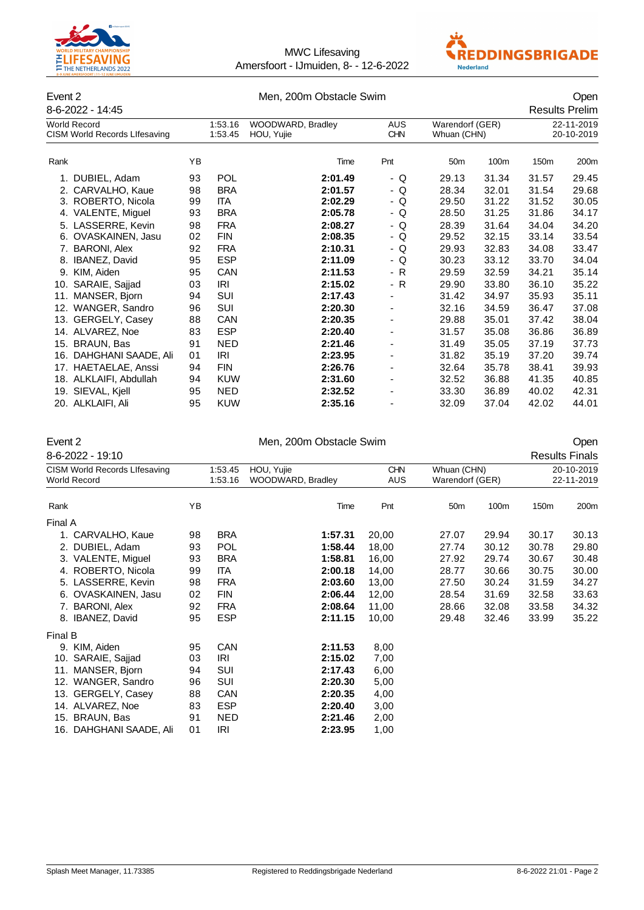



#### Event 2 Communication of the Men, 200m Obstacle Swim Communication of the Communication of the Open

|      | 8-6-2022 - 14:45                                     |    |                    |                                 |                          |                                |       | <b>Results Prelim</b>    |                  |
|------|------------------------------------------------------|----|--------------------|---------------------------------|--------------------------|--------------------------------|-------|--------------------------|------------------|
|      | <b>World Record</b><br>CISM World Records Lifesaving |    | 1:53.16<br>1:53.45 | WOODWARD, Bradley<br>HOU, Yujie | <b>AUS</b><br><b>CHN</b> | Warendorf (GER)<br>Whuan (CHN) |       | 22-11-2019<br>20-10-2019 |                  |
| Rank |                                                      | YB |                    | Time                            | Pnt                      | 50 <sub>m</sub>                | 100m  | 150m                     | 200 <sub>m</sub> |
|      | 1. DUBIEL, Adam                                      | 93 | <b>POL</b>         | 2:01.49                         | - Q                      | 29.13                          | 31.34 | 31.57                    | 29.45            |
|      | 2. CARVALHO, Kaue                                    | 98 | <b>BRA</b>         | 2:01.57                         | - Q                      | 28.34                          | 32.01 | 31.54                    | 29.68            |
|      | 3. ROBERTO, Nicola                                   | 99 | ITA                | 2:02.29                         | - Q                      | 29.50                          | 31.22 | 31.52                    | 30.05            |
|      | 4. VALENTE, Miguel                                   | 93 | <b>BRA</b>         | 2:05.78                         | - Q                      | 28.50                          | 31.25 | 31.86                    | 34.17            |
|      | 5. LASSERRE, Kevin                                   | 98 | <b>FRA</b>         | 2:08.27                         | - Q                      | 28.39                          | 31.64 | 34.04                    | 34.20            |
|      | 6. OVASKAINEN, Jasu                                  | 02 | <b>FIN</b>         | 2:08.35                         | - Q                      | 29.52                          | 32.15 | 33.14                    | 33.54            |
|      | 7. BARONI, Alex                                      | 92 | <b>FRA</b>         | 2:10.31                         | - Q                      | 29.93                          | 32.83 | 34.08                    | 33.47            |
|      | 8. IBANEZ, David                                     | 95 | <b>ESP</b>         | 2:11.09                         | - Q                      | 30.23                          | 33.12 | 33.70                    | 34.04            |
|      | 9. KIM, Aiden                                        | 95 | <b>CAN</b>         | 2:11.53                         | - R                      | 29.59                          | 32.59 | 34.21                    | 35.14            |
|      | 10. SARAIE, Sajjad                                   | 03 | IRI                | 2:15.02                         | - R                      | 29.90                          | 33.80 | 36.10                    | 35.22            |
|      | 11. MANSER, Bjorn                                    | 94 | SUI                | 2:17.43                         | $\overline{\phantom{0}}$ | 31.42                          | 34.97 | 35.93                    | 35.11            |
|      | 12. WANGER, Sandro                                   | 96 | SUI                | 2:20.30                         | $\overline{\phantom{0}}$ | 32.16                          | 34.59 | 36.47                    | 37.08            |
|      | 13. GERGELY, Casey                                   | 88 | <b>CAN</b>         | 2:20.35                         | $\overline{\phantom{0}}$ | 29.88                          | 35.01 | 37.42                    | 38.04            |
|      | 14. ALVAREZ, Noe                                     | 83 | <b>ESP</b>         | 2:20.40                         | -                        | 31.57                          | 35.08 | 36.86                    | 36.89            |
|      | 15. BRAUN, Bas                                       | 91 | <b>NED</b>         | 2:21.46                         | ٠                        | 31.49                          | 35.05 | 37.19                    | 37.73            |
|      | 16. DAHGHANI SAADE, Ali                              | 01 | IRI                | 2:23.95                         |                          | 31.82                          | 35.19 | 37.20                    | 39.74            |
|      | 17. HAETAELAE, Anssi                                 | 94 | <b>FIN</b>         | 2:26.76                         |                          | 32.64                          | 35.78 | 38.41                    | 39.93            |
|      | 18. ALKLAIFI, Abdullah                               | 94 | <b>KUW</b>         | 2:31.60                         |                          | 32.52                          | 36.88 | 41.35                    | 40.85            |
|      | 19. SIEVAL, Kjell                                    | 95 | <b>NED</b>         | 2:32.52                         |                          | 33.30                          | 36.89 | 40.02                    | 42.31            |
|      | 20. ALKLAIFI, Ali                                    | 95 | <b>KUW</b>         | 2:35.16                         |                          | 32.09                          | 37.04 | 42.02                    | 44.01            |

| vent |  |
|------|--|
|      |  |

#### Men, 200m Obstacle Swim **Event 200m** Open

8-6-2022 - 19:10 Results Finals CISM World Records Lifesaving 1:53.45 HOU, Yujie CHN CHN Whuan (CHN) 20-10-2019<br>
World Record 1:53.16 WOODWARD, Bradley AUS Warendorf (GER) 22-11-2019 1:53.16 WOODWARD, Bradley AUS Rank YB Time Pnt 50m 100m 150m 200m Final A 1. CARVALHO, Kaue 98 BRA **1:57.31** 20,00 27.07 29.94 30.17 30.13 2. DUBIEL, Adam 93 POL **1:58.44** 18,00 27.74 30.12 30.78 29.80 3. VALENTE, Miguel 93 BRA **1:58.81** 16,00 27.92 29.74 30.67 30.48 4. ROBERTO, Nicola 99 ITA **2:00.18** 14,00 28.77 30.66 30.75 30.00 5. LASSERRE, Kevin 98 FRA **2:03.60** 13,00 27.50 30.24 31.59 34.27 6. OVASKAINEN, Jasu 02 FIN **2:06.44** 12,00 28.54 31.69 32.58 33.63 7. BARONI, Alex 92 FRA **2:08.64** 11,00 28.66 32.08 33.58 34.32 8. IBANEZ, David 95 ESP **2:11.15** 10,00 29.48 32.46 33.99 35.22 Final B 9. KIM, Aiden 95 CAN **2:11.53** 8,00 10. SARAIE, Sajjad 11. MANSER, Bjorn 94 SUI **2:17.43** 6,00 12. WANGER, Sandro 96 SUI **2:20.30** 5,00 13. GERGELY, Casey 88 CAN **2:20.35** 4,00 14. ALVAREZ, Noe 83 ESP **2:20.40** 3,00 15. BRAUN, Bas 91 NED **2:21.46** 2,00 16. DAHGHANI SAADE, Ali 01 IRI **2:23.95** 1,00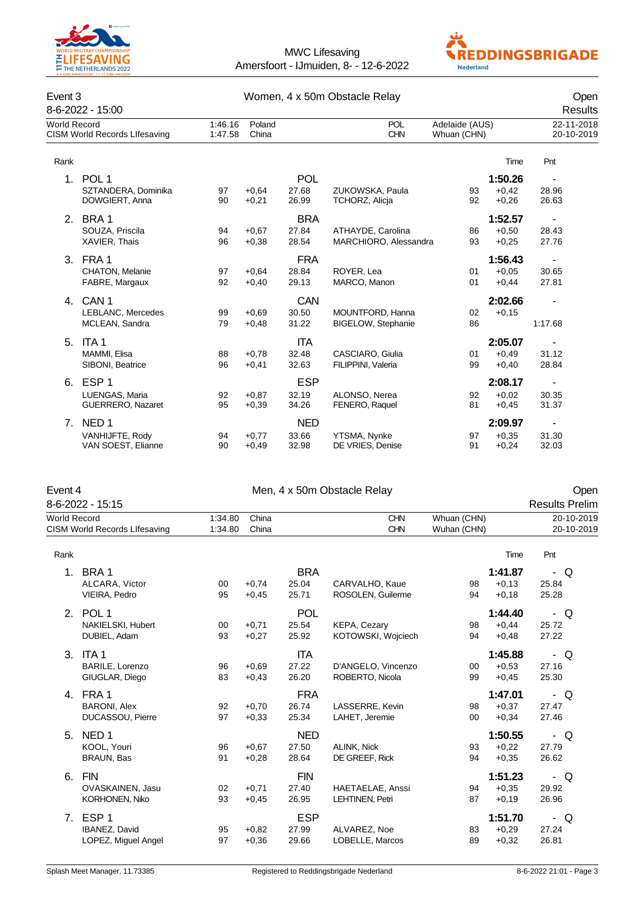



| Event 3     | 8-6-2022 - 15:00                                               |          | Women, 4 x 50m Obstacle Relay         | Open<br>Results              |                                               |                               |                               |                                            |  |
|-------------|----------------------------------------------------------------|----------|---------------------------------------|------------------------------|-----------------------------------------------|-------------------------------|-------------------------------|--------------------------------------------|--|
|             | <b>World Record</b><br><b>CISM World Records Lifesaving</b>    |          | Poland<br>1:46.16<br>1:47.58<br>China |                              | <b>POL</b><br><b>CHN</b>                      | Adelaide (AUS)<br>Whuan (CHN) |                               | 22-11-2018<br>20-10-2019                   |  |
| Rank        |                                                                |          |                                       |                              |                                               |                               | Time                          | Pnt                                        |  |
| 1.          | POL <sub>1</sub><br>SZTANDERA, Dominika<br>DOWGIERT, Anna      | 97<br>90 | $+0.64$<br>$+0,21$                    | <b>POL</b><br>27.68<br>26.99 | ZUKOWSKA, Paula<br>TCHORZ, Alicja             | 93<br>92                      | 1:50.26<br>$+0,42$<br>$+0,26$ | $\overline{\phantom{m}}$<br>28.96<br>26.63 |  |
| 2.          | BRA 1<br>SOUZA, Priscila<br>XAVIER, Thais                      | 94<br>96 | $+0.67$<br>$+0,38$                    | <b>BRA</b><br>27.84<br>28.54 | ATHAYDE, Carolina<br>MARCHIORO, Alessandra    | 86<br>93                      | 1:52.57<br>$+0,50$<br>$+0,25$ | $\blacksquare$<br>28.43<br>27.76           |  |
|             | 3. FRA 1<br><b>CHATON, Melanie</b><br>FABRE, Margaux           | 97<br>92 | $+0,64$<br>$+0.40$                    | <b>FRA</b><br>28.84<br>29.13 | ROYER, Lea<br>MARCO, Manon                    | 01<br>01                      | 1:56.43<br>$+0.05$<br>$+0.44$ | $\blacksquare$<br>30.65<br>27.81           |  |
|             | 4. CAN 1<br>LEBLANC, Mercedes<br>MCLEAN, Sandra                | 99<br>79 | $+0.69$<br>$+0.48$                    | <b>CAN</b><br>30.50<br>31.22 | MOUNTFORD, Hanna<br><b>BIGELOW, Stephanie</b> | 02<br>86                      | 2:02.66<br>$+0,15$            | $\blacksquare$<br>1:17.68                  |  |
| 5.          | ITA <sub>1</sub><br>MAMMI, Elisa<br>SIBONI, Beatrice           | 88<br>96 | $+0.78$<br>$+0,41$                    | <b>ITA</b><br>32.48<br>32.63 | CASCIARO, Giulia<br>FILIPPINI, Valeria        | 01<br>99                      | 2:05.07<br>$+0.49$<br>$+0,40$ | $\overline{\phantom{a}}$<br>31.12<br>28.84 |  |
| 6.          | ESP <sub>1</sub><br>LUENGAS, Maria<br><b>GUERRERO, Nazaret</b> | 92<br>95 | $+0.87$<br>$+0,39$                    | <b>ESP</b><br>32.19<br>34.26 | ALONSO, Nerea<br>FENERO, Raquel               | 92<br>81                      | 2:08.17<br>$+0.02$<br>$+0,45$ | $\blacksquare$<br>30.35<br>31.37           |  |
| $7_{\cdot}$ | NED <sub>1</sub><br>VANHIJFTE, Rody<br>VAN SOEST, Elianne      | 94<br>90 | $+0,77$<br>$+0.49$                    | <b>NED</b><br>33.66<br>32.98 | YTSMA, Nynke<br>DE VRIES, Denise              | 97<br>91                      | 2:09.97<br>$+0.35$<br>$+0,24$ | $\overline{\phantom{a}}$<br>31.30<br>32.03 |  |

| Event 4             |                                                          |                    | Open               |                              |                                       |                            |                               |                               |  |
|---------------------|----------------------------------------------------------|--------------------|--------------------|------------------------------|---------------------------------------|----------------------------|-------------------------------|-------------------------------|--|
|                     | 8-6-2022 - 15:15                                         |                    |                    |                              |                                       |                            |                               | <b>Results Prelim</b>         |  |
| <b>World Record</b> | CISM World Records Lifesaving                            | 1:34.80<br>1:34.80 | China<br>China     |                              | <b>CHN</b><br><b>CHN</b>              | Whuan (CHN)<br>Wuhan (CHN) |                               | 20-10-2019<br>20-10-2019      |  |
| Rank                |                                                          |                    |                    |                              |                                       |                            | Time                          | Pnt                           |  |
|                     | 1. BRA 1<br>ALCARA, Victor<br>VIEIRA, Pedro              | 00<br>95           | $+0.74$<br>$+0,45$ | <b>BRA</b><br>25.04<br>25.71 | CARVALHO, Kaue<br>ROSOLEN, Guilerme   | 98<br>94                   | 1:41.87<br>$+0,13$<br>$+0,18$ | - Q<br>25.84<br>25.28         |  |
| 2 <sup>2</sup>      | POL <sub>1</sub><br>NAKIELSKI, Hubert<br>DUBIEL, Adam    | 00<br>93           | $+0,71$<br>$+0,27$ | POL<br>25.54<br>25.92        | KEPA, Cezary<br>KOTOWSKI, Wojciech    | 98<br>94                   | 1:44.40<br>$+0,44$<br>$+0,48$ | Q<br>$\sim$<br>25.72<br>27.22 |  |
|                     | 3. ITA 1<br>BARILE, Lorenzo<br>GIUGLAR, Diego            | 96<br>83           | $+0.69$<br>$+0,43$ | <b>ITA</b><br>27.22<br>26.20 | D'ANGELO, Vincenzo<br>ROBERTO, Nicola | 00<br>99                   | 1:45.88<br>$+0.53$<br>$+0,45$ | Q<br>$\sim$<br>27.16<br>25.30 |  |
| 4.                  | FRA 1<br><b>BARONI, Alex</b><br>DUCASSOU, Pierre         | 92<br>97           | $+0,70$<br>$+0,33$ | <b>FRA</b><br>26.74<br>25.34 | LASSERRE, Kevin<br>LAHET, Jeremie     | 98<br>00                   | 1:47.01<br>$+0,37$<br>$+0,34$ | Q<br>$\sim$<br>27.47<br>27.46 |  |
| 5.                  | NED <sub>1</sub><br>KOOL, Youri<br>BRAUN, Bas            | 96<br>91           | $+0.67$<br>$+0,28$ | <b>NED</b><br>27.50<br>28.64 | ALINK, Nick<br>DE GREEF, Rick         | 93<br>94                   | 1:50.55<br>$+0,22$<br>$+0,35$ | - Q<br>27.79<br>26.62         |  |
| 6.                  | <b>FIN</b><br>OVASKAINEN, Jasu<br>KORHONEN, Niko         | 02<br>93           | $+0,71$<br>$+0,45$ | <b>FIN</b><br>27.40<br>26.95 | HAETAELAE, Anssi<br>LEHTINEN, Petri   | 94<br>87                   | 1:51.23<br>$+0.35$<br>$+0,19$ | Q<br>$\sim$<br>29.92<br>26.96 |  |
| 7.                  | ESP <sub>1</sub><br>IBANEZ, David<br>LOPEZ, Miguel Angel | 95<br>97           | $+0.82$<br>$+0,36$ | <b>ESP</b><br>27.99<br>29.66 | ALVAREZ, Noe<br>LOBELLE, Marcos       | 83<br>89                   | 1:51.70<br>$+0,29$<br>$+0,32$ | - Q<br>27.24<br>26.81         |  |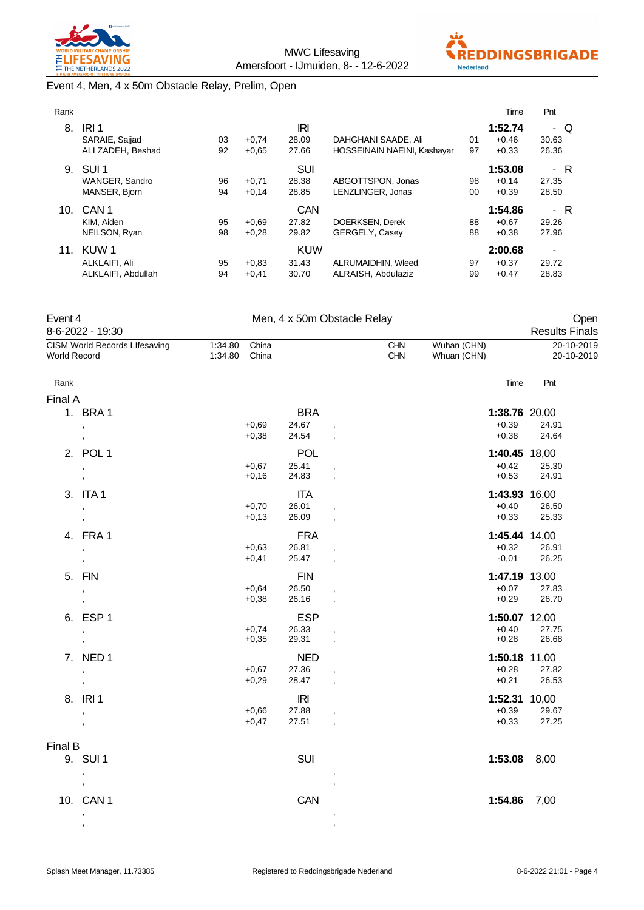



### Event 4, Men, 4 x 50m Obstacle Relay, Prelim, Open

| Rank |                    |    |         |            |                             |    | Time    | Pnt   |
|------|--------------------|----|---------|------------|-----------------------------|----|---------|-------|
| 8.   | IRI <sub>1</sub>   |    |         | IRI        |                             |    | 1:52.74 | - Q   |
|      | SARAIE, Sajjad     | 03 | $+0.74$ | 28.09      | DAHGHANI SAADE, Ali         | 01 | $+0.46$ | 30.63 |
|      | ALI ZADEH. Beshad  | 92 | $+0.65$ | 27.66      | HOSSEINAIN NAEINI, Kashayar | 97 | $+0.33$ | 26.36 |
| 9.   | SUI <sub>1</sub>   |    |         | <b>SUI</b> |                             |    | 1:53.08 | - R   |
|      | WANGER, Sandro     | 96 | $+0,71$ | 28.38      | ABGOTTSPON, Jonas           | 98 | $+0.14$ | 27.35 |
|      | MANSER, Bjorn      | 94 | $+0.14$ | 28.85      | LENZLINGER, Jonas           | 00 | $+0.39$ | 28.50 |
| 10.  | CAN <sub>1</sub>   |    |         | CAN        |                             |    | 1:54.86 | - R   |
|      | KIM. Aiden         | 95 | $+0.69$ | 27.82      | DOERKSEN, Derek             | 88 | $+0.67$ | 29.26 |
|      | NEILSON, Ryan      | 98 | $+0.28$ | 29.82      | GERGELY, Casey              | 88 | $+0.38$ | 27.96 |
| 11.  | KUW 1              |    |         | <b>KUW</b> |                             |    | 2:00.68 | ٠     |
|      | ALKLAIFI, Ali      | 95 | $+0.83$ | 31.43      | ALRUMAIDHIN, Wleed          | 97 | $+0.37$ | 29.72 |
|      | ALKLAIFI, Abdullah | 94 | $+0.41$ | 30.70      | ALRAISH, Abdulaziz          | 99 | $+0.47$ | 28.83 |

| Event 4             | 8-6-2022 - 19:30                     |                    | Open<br><b>Results Finals</b> |            |                          |            |                            |                          |
|---------------------|--------------------------------------|--------------------|-------------------------------|------------|--------------------------|------------|----------------------------|--------------------------|
| <b>World Record</b> | <b>CISM World Records Lifesaving</b> | 1:34.80<br>1:34.80 | China<br>China                |            |                          | CHN<br>CHN | Wuhan (CHN)<br>Whuan (CHN) | 20-10-2019<br>20-10-2019 |
| Rank                |                                      |                    |                               |            |                          |            | Time                       | Pnt                      |
| Final A             |                                      |                    |                               |            |                          |            |                            |                          |
|                     | 1. BRA 1                             |                    |                               | <b>BRA</b> |                          |            | 1:38.76 20,00              |                          |
|                     | $\,$                                 |                    | $+0,69$                       | 24.67      |                          |            | $+0,39$                    | 24.91                    |
|                     | $\overline{\phantom{a}}$             |                    | $+0,38$                       | 24.54      |                          |            | $+0,38$                    | 24.64                    |
|                     | 2. POL 1                             |                    |                               | <b>POL</b> |                          |            | 1:40.45 18,00              |                          |
|                     | $\,$                                 |                    | $+0,67$                       | 25.41      |                          |            | $+0,42$                    | 25.30                    |
|                     |                                      |                    | $+0,16$                       | 24.83      |                          |            | $+0,53$                    | 24.91                    |
|                     | 3. ITA 1                             |                    |                               | <b>ITA</b> |                          |            | 1:43.93 16,00              |                          |
|                     | $\,$                                 |                    | $+0,70$                       | 26.01      |                          |            | $+0,40$                    | 26.50                    |
|                     |                                      |                    | $+0,13$                       | 26.09      |                          |            | $+0,33$                    | 25.33                    |
|                     | 4. FRA 1                             |                    |                               | <b>FRA</b> |                          |            | 1:45.44 14,00              |                          |
|                     | $\,$                                 |                    | $+0,63$                       | 26.81      |                          |            | $+0,32$                    | 26.91                    |
|                     | $\overline{\phantom{a}}$             |                    | $+0,41$                       | 25.47      |                          |            | $-0,01$                    | 26.25                    |
|                     | 5. FIN                               |                    |                               | <b>FIN</b> |                          |            | 1:47.19 13,00              |                          |
|                     | $^\mathrm{''}$                       |                    | $+0.64$                       | 26.50      |                          |            | $+0,07$                    | 27.83                    |
|                     |                                      |                    | $+0,38$                       | 26.16      |                          |            | $+0,29$                    | 26.70                    |
|                     | 6. ESP 1                             |                    |                               | <b>ESP</b> |                          |            | 1:50.07 12,00              |                          |
|                     | $\,$                                 |                    | $+0,74$                       | 26.33      |                          |            | $+0,40$                    | 27.75                    |
|                     |                                      |                    | $+0,35$                       | 29.31      |                          |            | $+0,28$                    | 26.68                    |
|                     | 7. NED 1                             |                    |                               | <b>NED</b> |                          |            | 1:50.18 11,00              |                          |
|                     | $\overline{\phantom{a}}$             |                    | $+0,67$                       | 27.36      |                          |            | $+0,28$                    | 27.82                    |
|                     |                                      |                    | $+0,29$                       | 28.47      | $\overline{\phantom{a}}$ |            | $+0,21$                    | 26.53                    |
|                     | 8. IRI1                              |                    |                               | <b>IRI</b> |                          |            | 1:52.31 10,00              |                          |
|                     | $\overline{\phantom{a}}$             |                    | $+0,66$                       | 27.88      | $\overline{\phantom{a}}$ |            | $+0,39$                    | 29.67                    |
|                     | $\overline{\phantom{a}}$             |                    | $+0,47$                       | 27.51      | $\overline{\phantom{a}}$ |            | $+0,33$                    | 27.25                    |
| Final B             |                                      |                    |                               |            |                          |            |                            |                          |
|                     | 9. SUI 1                             |                    |                               | <b>SUI</b> |                          |            | 1:53.08                    | 8,00                     |
|                     | $\overline{\phantom{a}}$             |                    |                               |            |                          |            |                            |                          |
|                     |                                      |                    |                               |            |                          |            |                            |                          |
|                     | 10. CAN 1                            |                    |                               | CAN        |                          |            | 1:54.86                    | 7,00                     |
|                     |                                      |                    |                               |            |                          |            |                            |                          |
|                     | $\,$                                 |                    |                               |            |                          |            |                            |                          |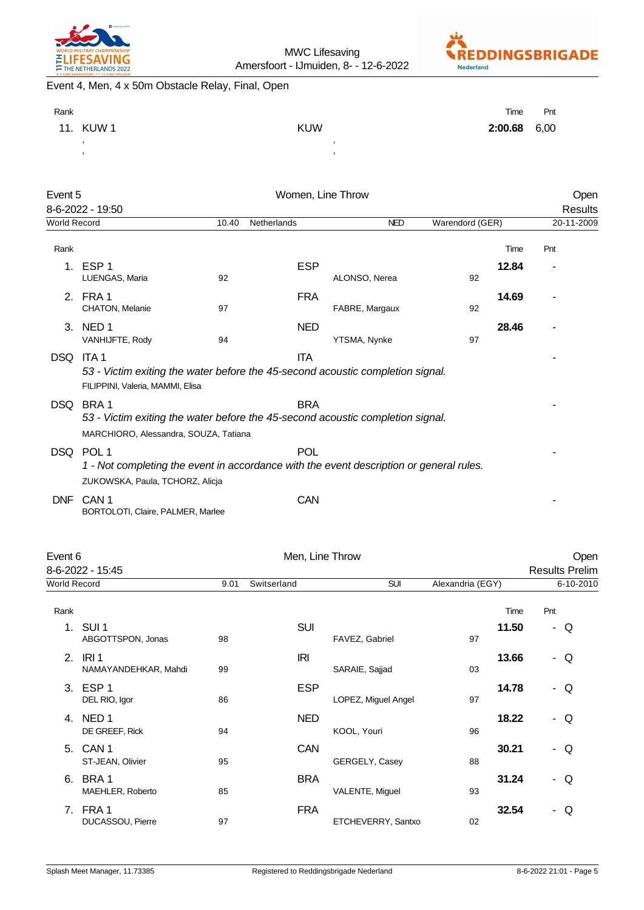



# Event 4, Men, 4 x 50m Obstacle Relay, Final, Open

| Rank |           |            | Time           | Pnt |
|------|-----------|------------|----------------|-----|
|      | 11. KUW 1 | <b>KUW</b> | $2:00.68$ 6,00 |     |
|      |           |            |                |     |
|      |           |            |                |     |

| Event 5        |                                                                                                                                        |    | Women, Line Throw |                |                 |       | Open       |  |
|----------------|----------------------------------------------------------------------------------------------------------------------------------------|----|-------------------|----------------|-----------------|-------|------------|--|
|                | 8-6-2022 - 19:50                                                                                                                       |    |                   |                |                 |       | Results    |  |
|                | World Record                                                                                                                           |    | Netherlands       | <b>NED</b>     | Warendord (GER) |       | 20-11-2009 |  |
| Rank           |                                                                                                                                        |    |                   |                |                 | Time  | Pnt        |  |
| 1 <sub>1</sub> | ESP <sub>1</sub><br>LUENGAS, Maria                                                                                                     | 92 | <b>ESP</b>        | ALONSO, Nerea  | 92              | 12.84 |            |  |
| 2.             | FRA 1<br>CHATON, Melanie                                                                                                               | 97 | <b>FRA</b>        | FABRE, Margaux | 92              | 14.69 |            |  |
| 3.             | NED <sub>1</sub><br>VANHIJFTE, Rody                                                                                                    | 94 | <b>NED</b>        | YTSMA, Nynke   | 97              | 28.46 |            |  |
| DSQ            | ITA <sub>1</sub><br>53 - Victim exiting the water before the 45-second acoustic completion signal.<br>FILIPPINI, Valeria, MAMMI, Elisa |    | <b>ITA</b>        |                |                 |       |            |  |
| <b>DSQ</b>     | BRA1<br>53 - Victim exiting the water before the 45-second acoustic completion signal.<br>MARCHIORO, Alessandra, SOUZA, Tatiana        |    | <b>BRA</b>        |                |                 |       |            |  |
|                | DSQ POL 1<br>1 - Not completing the event in accordance with the event description or general rules.                                   |    | <b>POL</b>        |                |                 |       |            |  |
|                | ZUKOWSKA, Paula, TCHORZ, Alicja                                                                                                        |    |                   |                |                 |       |            |  |
| <b>DNF</b>     | CAN <sub>1</sub><br>BORTOLOTI, Claire, PALMER, Marlee                                                                                  |    | <b>CAN</b>        |                |                 |       |            |  |

| Event 6             |                                          |      | Men, Line Throw |                     |                  |       | Open                  |  |
|---------------------|------------------------------------------|------|-----------------|---------------------|------------------|-------|-----------------------|--|
|                     | 8-6-2022 - 15:45                         |      |                 |                     |                  |       | <b>Results Prelim</b> |  |
| <b>World Record</b> |                                          | 9.01 | Switserland     | <b>SUI</b>          | Alexandria (EGY) |       | 6-10-2010             |  |
| Rank                |                                          |      |                 |                     |                  | Time  | Pnt                   |  |
| 1.                  | SUI <sub>1</sub><br>ABGOTTSPON, Jonas    | 98   | <b>SUI</b>      | FAVEZ, Gabriel      | 97               | 11.50 | - Q                   |  |
| 2.                  | IRI <sub>1</sub><br>NAMAYANDEHKAR, Mahdi | 99   | IRI             | SARAIE, Sajjad      | 03               | 13.66 | - Q                   |  |
| 3.                  | ESP <sub>1</sub><br>DEL RIO, Igor        | 86   | <b>ESP</b>      | LOPEZ, Miguel Angel | 97               | 14.78 | - Q                   |  |
| 4.                  | NED <sub>1</sub><br>DE GREEF, Rick       | 94   | <b>NED</b>      | KOOL, Youri         | 96               | 18.22 | - Q                   |  |
| 5.                  | CAN <sub>1</sub><br>ST-JEAN, Olivier     | 95   | CAN             | GERGELY, Casey      | 30.21<br>88      |       | - Q                   |  |
| 6.                  | BRA1<br>MAEHLER, Roberto                 | 85   | <b>BRA</b>      | VALENTE, Miguel     | 93               | 31.24 | - Q                   |  |
| 7.                  | FRA1<br>DUCASSOU, Pierre                 | 97   | <b>FRA</b>      | ETCHEVERRY, Santxo  | 02               | 32.54 | - Q                   |  |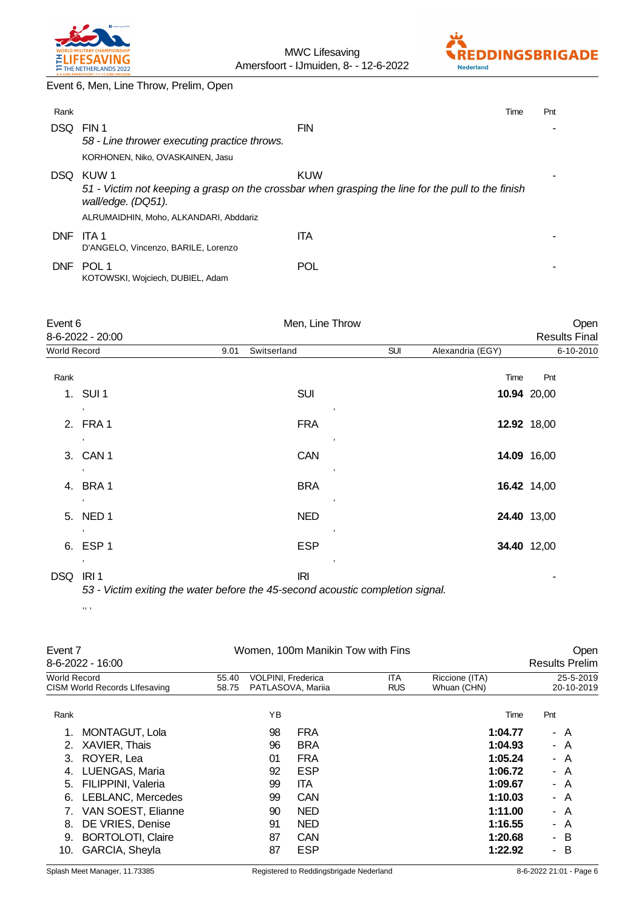



Event 6, Men, Line Throw, Prelim, Open

| Rank       |                                                                                           | Time                                                                                                     | Pnt |
|------------|-------------------------------------------------------------------------------------------|----------------------------------------------------------------------------------------------------------|-----|
| DSQ.       | FIN 1<br>58 - Line thrower executing practice throws.<br>KORHONEN, Niko, OVASKAINEN, Jasu | <b>FIN</b>                                                                                               |     |
| DSQ.       | KUW 1<br>wall/edge. (DQ51).<br>ALRUMAIDHIN, Moho, ALKANDARI, Abddariz                     | KUW<br>51 - Victim not keeping a grasp on the crossbar when grasping the line for the pull to the finish |     |
| <b>DNF</b> | ITA 1<br>D'ANGELO, Vincenzo, BARILE, Lorenzo                                              | <b>ITA</b>                                                                                               |     |
| <b>DNF</b> | POL 1<br>KOTOWSKI, Wojciech, DUBIEL, Adam                                                 | POL                                                                                                      |     |

|              | Event 6          |      | Men, Line Throw                                                                |            | Open             |                      |
|--------------|------------------|------|--------------------------------------------------------------------------------|------------|------------------|----------------------|
|              | 8-6-2022 - 20:00 |      |                                                                                |            |                  | <b>Results Final</b> |
| World Record |                  | 9.01 | Switserland                                                                    | <b>SUI</b> | Alexandria (EGY) | 6-10-2010            |
| Rank         |                  |      |                                                                                |            | Time             | Pnt                  |
|              | 1. SUI 1         |      | <b>SUI</b>                                                                     |            |                  | 10.94 20,00          |
|              | $\cdot$          |      | $\,$                                                                           |            |                  |                      |
|              | 2. FRA 1         |      | <b>FRA</b>                                                                     |            |                  | 12.92 18,00          |
|              | $\cdot$          |      |                                                                                |            |                  |                      |
|              | 3. CAN 1         |      | <b>CAN</b>                                                                     |            |                  | 14.09 16,00          |
|              | $\cdot$          |      | $\cdot$                                                                        |            |                  |                      |
|              | 4. BRA 1         |      | <b>BRA</b>                                                                     |            |                  | 16.42 14,00          |
|              | $\,$             |      |                                                                                |            |                  |                      |
|              | 5. NED 1         |      | <b>NED</b>                                                                     |            |                  | 24.40 13,00          |
|              | $\,$             |      | $\cdot$                                                                        |            |                  |                      |
|              | 6. ESP 1         |      | <b>ESP</b>                                                                     |            |                  | 34.40 12,00          |
|              | $\,$             |      | $\cdot$                                                                        |            |                  |                      |
| DSQ          | IRI <sub>1</sub> |      | <b>IRI</b>                                                                     |            |                  |                      |
|              |                  |      | 53 - Victim exiting the water before the 45-second acoustic completion signal. |            |                  |                      |

,, ,

| <b>VOLPINI, Frederica</b><br><b>ITA</b><br>Riccione (ITA)<br>World Record<br>55.40<br>CISM World Records Lifesaving<br>PATLASOVA, Mariia<br><b>RUS</b><br>Whuan (CHN)<br>58.75<br>YB<br>Rank<br>Pnt<br>Time | Open<br><b>Results Prelim</b> |  |  |  |
|-------------------------------------------------------------------------------------------------------------------------------------------------------------------------------------------------------------|-------------------------------|--|--|--|
|                                                                                                                                                                                                             | 25-5-2019<br>20-10-2019       |  |  |  |
|                                                                                                                                                                                                             |                               |  |  |  |
| <b>FRA</b><br>MONTAGUT, Lola<br>98<br>1:04.77<br>- A                                                                                                                                                        |                               |  |  |  |
| <b>BRA</b><br>XAVIER, Thais<br>96<br>1:04.93<br>2.<br>- A                                                                                                                                                   |                               |  |  |  |
| <b>FRA</b><br>ROYER, Lea<br>1:05.24<br>01<br>3.<br>- A                                                                                                                                                      |                               |  |  |  |
| <b>ESP</b><br>LUENGAS, Maria<br>92<br>1:06.72<br>- A<br>4.                                                                                                                                                  |                               |  |  |  |
| <b>ITA</b><br>1:09.67<br>FILIPPINI, Valeria<br>5.<br>99<br>- A                                                                                                                                              |                               |  |  |  |
| <b>CAN</b><br>LEBLANC, Mercedes<br>99<br>1:10.03<br>6.<br>- A                                                                                                                                               |                               |  |  |  |
| 1:11.00<br>VAN SOEST, Elianne<br><b>NED</b><br>90<br>- A                                                                                                                                                    |                               |  |  |  |
| DE VRIES, Denise<br><b>NED</b><br>91<br>1:16.55<br>- A<br>8.                                                                                                                                                |                               |  |  |  |
| CAN<br><b>BORTOLOTI, Claire</b><br>87<br>1:20.68<br>- B<br>9.                                                                                                                                               |                               |  |  |  |
| <b>ESP</b><br>GARCIA, Sheyla<br>87<br>1:22.92<br>- B<br>10.                                                                                                                                                 |                               |  |  |  |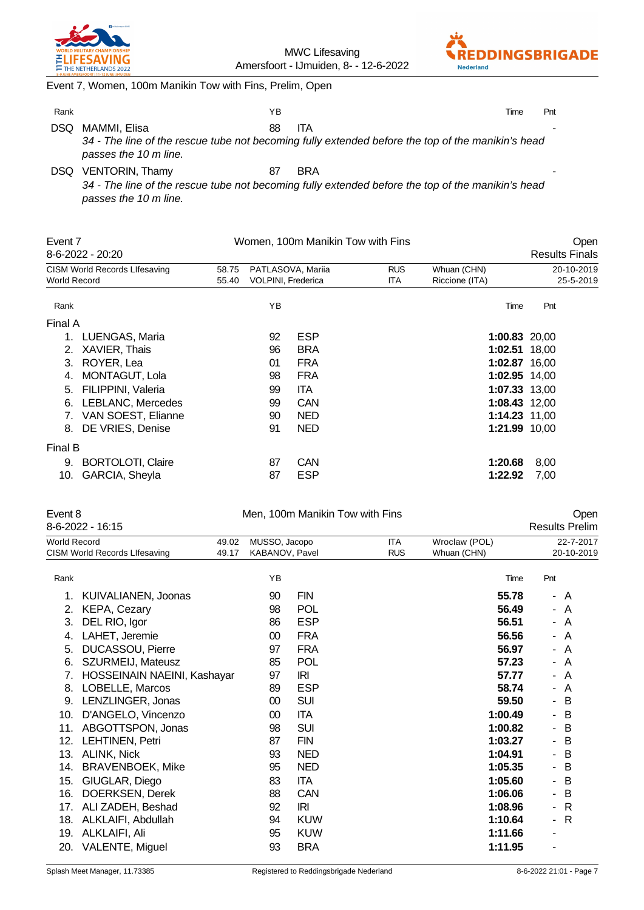

MWC Lifesaving Amersfoort - IJmuiden, 8- - 12-6-2022



Event 7, Women, 100m Manikin Tow with Fins, Prelim, Open

| Rank |                        | ΥB |                                                                                                   | Time | Pnt |
|------|------------------------|----|---------------------------------------------------------------------------------------------------|------|-----|
| DSQ. | MAMMI, Elisa           | 88 | <b>ITA</b>                                                                                        |      |     |
|      | passes the 10 m line.  |    | 34 - The line of the rescue tube not becoming fully extended before the top of the manikin's head |      |     |
| DSQ. | <b>VENTORIN, Thamy</b> | 87 | <b>BRA</b>                                                                                        |      |     |

*34 - The line of the rescue tube not becoming fully extended before the top of the manikin's head passes the 10 m line.*

| Event 7      |                               |       | Women, 100m Manikin Tow with Fins |                   | Open       |                |                       |
|--------------|-------------------------------|-------|-----------------------------------|-------------------|------------|----------------|-----------------------|
|              | 8-6-2022 - 20:20              |       |                                   |                   |            |                | <b>Results Finals</b> |
|              | CISM World Records Lifesaving | 58.75 |                                   | PATLASOVA, Mariia | <b>RUS</b> | Whuan (CHN)    | 20-10-2019            |
| World Record |                               | 55.40 | VOLPINI, Frederica                |                   | ITA        | Riccione (ITA) | 25-5-2019             |
| Rank         |                               |       | ΥB                                |                   |            | Time           | Pnt                   |
| Final A      |                               |       |                                   |                   |            |                |                       |
|              | LUENGAS, Maria                |       | 92                                | <b>ESP</b>        |            | 1:00.83 20,00  |                       |
| 2.           | XAVIER, Thais                 |       | 96                                | <b>BRA</b>        |            | 1:02.51 18,00  |                       |
| 3.           | ROYER, Lea                    |       | 01                                | <b>FRA</b>        |            | 1:02.87 16,00  |                       |
| 4.           | MONTAGUT, Lola                |       | 98                                | <b>FRA</b>        |            | 1:02.95 14,00  |                       |
| 5.           | FILIPPINI, Valeria            |       | 99                                | <b>ITA</b>        |            | 1:07.33 13,00  |                       |
| 6.           | <b>LEBLANC, Mercedes</b>      |       | 99                                | <b>CAN</b>        |            | 1:08.43 12,00  |                       |
| 7.           | VAN SOEST, Elianne            |       | 90                                | <b>NED</b>        |            | 1:14.23 11,00  |                       |
| 8.           | DE VRIES, Denise              |       | 91                                | <b>NED</b>        |            | 1:21.99 10,00  |                       |
| Final B      |                               |       |                                   |                   |            |                |                       |
| 9.           | <b>BORTOLOTI, Claire</b>      |       | 87                                | <b>CAN</b>        |            | 1:20.68        | 8,00                  |
| 10.          | GARCIA, Sheyla                |       | 87                                | <b>ESP</b>        |            | 1:22.92        | 7,00                  |

| Event 8             |                                      |                | Men, 100m Manikin Tow with Fins |            | Open                     |                              |     |                               |
|---------------------|--------------------------------------|----------------|---------------------------------|------------|--------------------------|------------------------------|-----|-------------------------------|
|                     | 8-6-2022 - 16:15                     |                |                                 |            |                          |                              |     | <b>Results Prelim</b>         |
| <b>World Record</b> | <b>CISM World Records Lifesaving</b> | 49.02<br>49.17 | MUSSO, Jacopo<br>KABANOV, Pavel |            | <b>ITA</b><br><b>RUS</b> | Wroclaw (POL)<br>Whuan (CHN) |     | $22 - 7 - 2017$<br>20-10-2019 |
| Rank                |                                      |                | YB                              |            |                          | Time                         | Pnt |                               |
| 1.                  | KUIVALIANEN, Joonas                  |                | 90                              | <b>FIN</b> |                          | 55.78                        |     | - A                           |
| 2.                  | KEPA, Cezary                         |                | 98                              | <b>POL</b> |                          | 56.49                        |     | $-A$                          |
| 3.                  | DEL RIO, Igor                        |                | 86                              | <b>ESP</b> |                          | 56.51                        |     | - A                           |
| 4.                  | LAHET, Jeremie                       |                | $00\,$                          | <b>FRA</b> |                          | 56.56                        |     | - A                           |
| 5.                  | DUCASSOU, Pierre                     |                | 97                              | <b>FRA</b> |                          | 56.97                        |     | - A                           |
| 6.                  | SZURMEIJ, Mateusz                    |                | 85                              | <b>POL</b> |                          | 57.23                        |     | - A                           |
| 7.                  | HOSSEINAIN NAEINI, Kashayar          |                | 97                              | IRI        |                          | 57.77                        |     | - A                           |
| 8.                  | LOBELLE, Marcos                      |                | 89                              | <b>ESP</b> |                          | 58.74                        |     | - A                           |
| 9.                  | LENZLINGER, Jonas                    |                | $00\,$                          | <b>SUI</b> |                          | 59.50                        |     | - B                           |
| 10.                 | D'ANGELO, Vincenzo                   |                | 00                              | <b>ITA</b> |                          | 1:00.49                      |     | - B                           |
| 11.                 | ABGOTTSPON, Jonas                    |                | 98                              | <b>SUI</b> |                          | 1:00.82                      |     | - B                           |
| 12.                 | LEHTINEN, Petri                      |                | 87                              | <b>FIN</b> |                          | 1:03.27                      |     | - B                           |
| 13.                 | ALINK, Nick                          |                | 93                              | <b>NED</b> |                          | 1:04.91                      |     | - B                           |
| 14.                 | <b>BRAVENBOEK, Mike</b>              |                | 95                              | <b>NED</b> |                          | 1:05.35                      |     | - B                           |
| 15.                 | GIUGLAR, Diego                       |                | 83                              | <b>ITA</b> |                          | 1:05.60                      |     | - B                           |
| 16.                 | DOERKSEN, Derek                      |                | 88                              | CAN        |                          | 1:06.06                      |     | - B                           |
| 17.                 | ALI ZADEH, Beshad                    |                | 92                              | IRI        |                          | 1:08.96                      |     | $-R$                          |
| 18.                 | ALKLAIFI, Abdullah                   |                | 94                              | <b>KUW</b> |                          | 1:10.64                      |     | - R                           |
| 19.                 | ALKLAIFI, Ali                        |                | 95                              | <b>KUW</b> |                          | 1:11.66                      |     |                               |
| 20.                 | VALENTE, Miguel                      |                | 93                              | <b>BRA</b> |                          | 1:11.95                      |     |                               |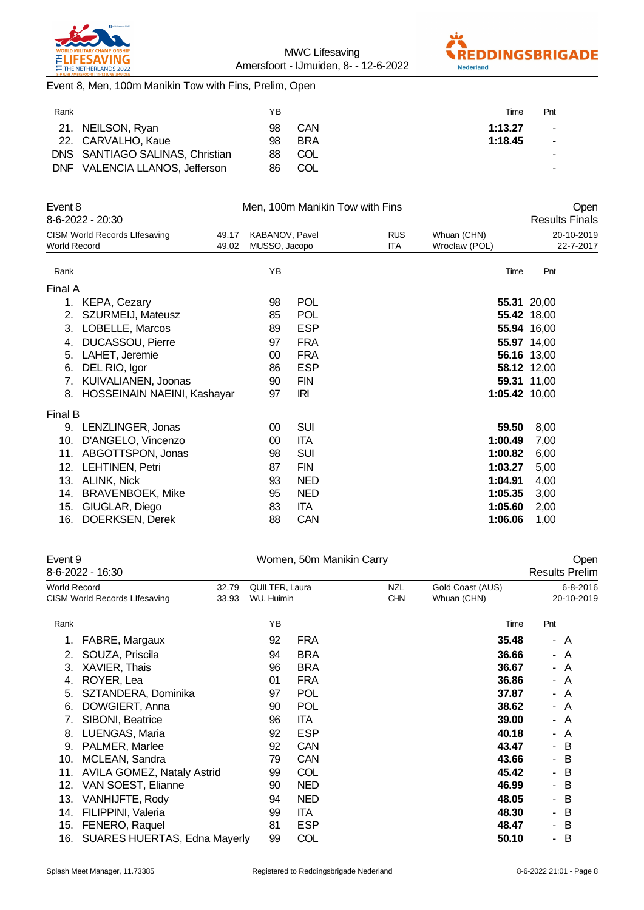



Event 8, Men, 100m Manikin Tow with Fins, Prelim, Open

| Rank       |                                 | ΥB |            | Time    | Pnt                      |
|------------|---------------------------------|----|------------|---------|--------------------------|
|            | 21. NEILSON, Ryan               | 98 | CAN        | 1:13.27 | ۰                        |
|            | 22. CARVALHO, Kaue              | 98 | <b>BRA</b> | 1:18.45 | $\overline{\phantom{a}}$ |
|            | DNS SANTIAGO SALINAS, Christian | 88 | COL        |         |                          |
| <b>DNF</b> | VALENCIA LLANOS, Jefferson      | 86 | COL        |         |                          |

| Event 8      |                               |       |                |            | Men, 100m Manikin Tow with Fins |               |               |                       | Open       |
|--------------|-------------------------------|-------|----------------|------------|---------------------------------|---------------|---------------|-----------------------|------------|
|              | 8-6-2022 - 20:30              |       |                |            |                                 |               |               | <b>Results Finals</b> |            |
|              | CISM World Records Lifesaving | 49.17 | KABANOV, Pavel |            | <b>RUS</b>                      | Whuan (CHN)   |               |                       | 20-10-2019 |
| World Record |                               | 49.02 | MUSSO, Jacopo  |            | ITA                             | Wroclaw (POL) |               |                       | 22-7-2017  |
| Rank         |                               |       | YB             |            |                                 |               | Time          | Pnt                   |            |
| Final A      |                               |       |                |            |                                 |               |               |                       |            |
| 1.           | KEPA, Cezary                  |       | 98             | <b>POL</b> |                                 |               |               | 55.31 20,00           |            |
| 2.           | SZURMEIJ, Mateusz             |       | 85             | <b>POL</b> |                                 |               |               | 55.42 18,00           |            |
| 3.           | LOBELLE, Marcos               |       | 89             | <b>ESP</b> |                                 |               |               | 55.94 16,00           |            |
| 4.           | DUCASSOU, Pierre              |       | 97             | <b>FRA</b> |                                 |               |               | 55.97 14,00           |            |
| 5.           | LAHET, Jeremie                |       | 00             | <b>FRA</b> |                                 |               |               | 56.16 13,00           |            |
| 6.           | DEL RIO, Igor                 |       | 86             | <b>ESP</b> |                                 |               |               | 58.12 12,00           |            |
| 7.           | KUIVALIANEN, Joonas           |       | 90             | <b>FIN</b> |                                 |               |               | 59.31 11,00           |            |
| 8.           | HOSSEINAIN NAEINI, Kashayar   |       | 97             | <b>IRI</b> |                                 |               | 1:05.42 10,00 |                       |            |
| Final B      |                               |       |                |            |                                 |               |               |                       |            |
| 9.           | LENZLINGER, Jonas             |       | 00             | <b>SUI</b> |                                 |               | 59.50         | 8,00                  |            |
| 10.          | D'ANGELO, Vincenzo            |       | 00             | <b>ITA</b> |                                 |               | 1:00.49       | 7,00                  |            |
| 11.          | ABGOTTSPON, Jonas             |       | 98             | <b>SUI</b> |                                 |               | 1:00.82       | 6,00                  |            |
| 12.          | LEHTINEN, Petri               |       | 87             | <b>FIN</b> |                                 |               | 1:03.27       | 5,00                  |            |
| 13.          | ALINK, Nick                   |       | 93             | <b>NED</b> |                                 |               | 1:04.91       | 4,00                  |            |
| 14.          | <b>BRAVENBOEK, Mike</b>       |       | 95             | <b>NED</b> |                                 |               | 1:05.35       | 3,00                  |            |
| 15.          | GIUGLAR, Diego                |       | 83             | <b>ITA</b> |                                 |               | 1:05.60       | 2,00                  |            |
| 16.          | DOERKSEN, Derek               |       | 88             | <b>CAN</b> |                                 |               | 1:06.06       | 1,00                  |            |
|              |                               |       |                |            |                                 |               |               |                       |            |

| Event 9<br>8-6-2022 - 16:30                   |    |                                                       |                              |                          |                                 |                                                             | Open<br><b>Results Prelim</b>                                                                                                                            |
|-----------------------------------------------|----|-------------------------------------------------------|------------------------------|--------------------------|---------------------------------|-------------------------------------------------------------|----------------------------------------------------------------------------------------------------------------------------------------------------------|
| World Record<br>CISM World Records Lifesaving |    |                                                       |                              |                          | Gold Coast (AUS)<br>Whuan (CHN) |                                                             | $6 - 8 - 2016$<br>20-10-2019                                                                                                                             |
|                                               | ΥB |                                                       |                              |                          | Time                            | Pnt                                                         |                                                                                                                                                          |
| FABRE, Margaux                                | 92 | <b>FRA</b>                                            |                              |                          |                                 |                                                             | - A                                                                                                                                                      |
| SOUZA, Priscila                               | 94 | <b>BRA</b>                                            |                              |                          |                                 |                                                             | - A                                                                                                                                                      |
| XAVIER, Thais                                 | 96 | <b>BRA</b>                                            |                              |                          |                                 |                                                             | - A                                                                                                                                                      |
| ROYER, Lea                                    | 01 | <b>FRA</b>                                            |                              |                          |                                 |                                                             | - A                                                                                                                                                      |
| SZTANDERA, Dominika                           | 97 | <b>POL</b>                                            |                              |                          |                                 |                                                             | - A                                                                                                                                                      |
| DOWGIERT, Anna                                | 90 | POL                                                   |                              |                          |                                 |                                                             | - A                                                                                                                                                      |
| SIBONI, Beatrice                              | 96 | ITA.                                                  |                              |                          |                                 |                                                             | - A                                                                                                                                                      |
| LUENGAS, Maria                                | 92 | <b>ESP</b>                                            |                              |                          |                                 |                                                             | A                                                                                                                                                        |
| PALMER, Marlee                                | 92 | <b>CAN</b>                                            |                              |                          |                                 |                                                             | - B                                                                                                                                                      |
| MCLEAN, Sandra                                | 79 | <b>CAN</b>                                            |                              |                          |                                 |                                                             | B                                                                                                                                                        |
| AVILA GOMEZ, Nataly Astrid                    | 99 | COL                                                   |                              |                          |                                 |                                                             | - B                                                                                                                                                      |
| VAN SOEST, Elianne                            | 90 | <b>NED</b>                                            |                              |                          |                                 |                                                             | B                                                                                                                                                        |
| VANHIJFTE, Rody                               | 94 | <b>NED</b>                                            |                              |                          |                                 |                                                             | B                                                                                                                                                        |
| FILIPPINI, Valeria                            | 99 | <b>ITA</b>                                            |                              |                          |                                 |                                                             | B                                                                                                                                                        |
| FENERO, Raquel                                | 81 | <b>ESP</b>                                            |                              |                          |                                 |                                                             | B                                                                                                                                                        |
|                                               | 99 | COL                                                   |                              |                          | 50.10                           |                                                             | B                                                                                                                                                        |
|                                               |    | 32.79<br>33.93<br><b>SUARES HUERTAS, Edna Mayerly</b> | QUILTER, Laura<br>WU, Huimin | Women, 50m Manikin Carry | <b>NZL</b><br><b>CHN</b>        | 36.67<br>37.87<br>40.18<br>43.47<br>46.99<br>48.05<br>48.47 | 35.48<br>36.66<br>36.86<br>38.62<br>39.00<br>$\sim$<br>43.66<br>$\sim$<br>45.42<br>$\sim$<br>$\sim$<br>48.30<br>$\overline{\phantom{0}}$<br>$\sim$<br>۰. |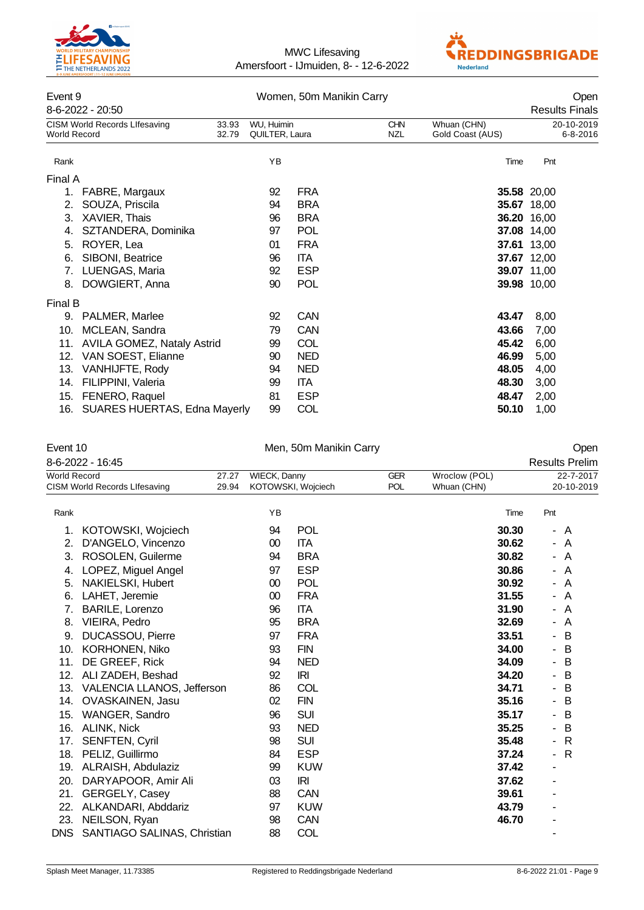



## Event 9 Women, 50m Manikin Carry Open

| ᆫ᠈ᄓᄔ୰<br>8-6-2022 - 20:50                                   |                |                              | <u>WONDER, JUNI MANINI UAN Y</u> |                   |                                 | UPULI<br><b>Results Finals</b> |
|-------------------------------------------------------------|----------------|------------------------------|----------------------------------|-------------------|---------------------------------|--------------------------------|
| <b>CISM World Records Lifesaving</b><br><b>World Record</b> | 33.93<br>32.79 | WU, Huimin<br>QUILTER, Laura |                                  | <b>CHN</b><br>NZL | Whuan (CHN)<br>Gold Coast (AUS) | 20-10-2019<br>$6 - 8 - 2016$   |
| Rank                                                        |                | ΥB                           |                                  |                   | Time                            | Pnt                            |
| Final A                                                     |                |                              |                                  |                   |                                 |                                |
| 1.<br>FABRE, Margaux                                        |                | 92                           | <b>FRA</b>                       |                   |                                 | 35.58 20,00                    |
| SOUZA, Priscila<br>2.                                       |                | 94                           | <b>BRA</b>                       |                   |                                 | 35.67 18,00                    |
| XAVIER, Thais<br>3.                                         |                | 96                           | <b>BRA</b>                       |                   |                                 | 36.20 16,00                    |
| SZTANDERA, Dominika<br>4.                                   |                | 97                           | <b>POL</b>                       |                   |                                 | 37.08 14,00                    |
| ROYER, Lea<br>5.                                            |                | 01                           | <b>FRA</b>                       |                   |                                 | 37.61 13,00                    |
| SIBONI, Beatrice<br>6.                                      |                | 96                           | ITA.                             |                   |                                 | 37.67 12,00                    |
| LUENGAS, Maria<br>7.                                        |                | 92                           | <b>ESP</b>                       |                   |                                 | 39.07 11,00                    |
| DOWGIERT, Anna<br>8.                                        |                | 90                           | <b>POL</b>                       |                   |                                 | <b>39.98</b> 10,00             |
| Final B                                                     |                |                              |                                  |                   |                                 |                                |
| PALMER, Marlee<br>9.                                        |                | 92                           | <b>CAN</b>                       |                   | 43.47                           | 8,00                           |
| MCLEAN, Sandra<br>10.                                       |                | 79                           | <b>CAN</b>                       |                   | 43.66                           | 7,00                           |
| <b>AVILA GOMEZ, Nataly Astrid</b><br>11.                    |                | 99                           | <b>COL</b>                       |                   | 45.42                           | 6,00                           |
| 12.<br>VAN SOEST, Elianne                                   |                | 90                           | <b>NED</b>                       |                   | 46.99                           | 5,00                           |
| 13.<br>VANHIJFTE, Rody                                      |                | 94                           | <b>NED</b>                       |                   | 48.05                           | 4,00                           |
| FILIPPINI, Valeria<br>14.                                   |                | 99                           | <b>ITA</b>                       |                   | 48.30                           | 3,00                           |
| FENERO, Raquel<br>15.                                       |                | 81                           | <b>ESP</b>                       |                   | 48.47                           | 2,00                           |
| 16. SUARES HUERTAS, Edna Mayerly                            |                | 99                           | COL                              |                   | 50.10                           | 1,00                           |

| Event 10<br>8-6-2022 - 16:45 |                                      |                |                                                                       | Men, 50m Manikin Carry |  |                              | Open<br><b>Results Prelim</b>            |  |
|------------------------------|--------------------------------------|----------------|-----------------------------------------------------------------------|------------------------|--|------------------------------|------------------------------------------|--|
| <b>World Record</b>          | <b>CISM World Records Lifesaving</b> | 27.27<br>29.94 | <b>WIECK, Danny</b><br><b>GER</b><br><b>POL</b><br>KOTOWSKI, Wojciech |                        |  | Wroclow (POL)<br>Whuan (CHN) | 22-7-2017<br>20-10-2019                  |  |
| Rank                         |                                      |                | YB                                                                    |                        |  | Time                         | Pnt                                      |  |
| 1.                           | KOTOWSKI, Wojciech                   |                | 94                                                                    | <b>POL</b>             |  | 30.30                        | - A                                      |  |
| 2.                           | D'ANGELO, Vincenzo                   |                | 00                                                                    | <b>ITA</b>             |  | 30.62                        | A<br>$\overline{\phantom{0}}$            |  |
| 3.                           | ROSOLEN, Guilerme                    |                | 94                                                                    | <b>BRA</b>             |  | 30.82                        | A<br>$\overline{\phantom{0}}$            |  |
| 4.                           | LOPEZ, Miguel Angel                  |                | 97                                                                    | <b>ESP</b>             |  | 30.86                        | A                                        |  |
| 5.                           | NAKIELSKI, Hubert                    |                | 00                                                                    | <b>POL</b>             |  | 30.92                        | A<br>$\overline{\phantom{0}}$            |  |
| 6.                           | LAHET, Jeremie                       |                | 00                                                                    | <b>FRA</b>             |  | 31.55                        | A<br>Ξ.                                  |  |
| 7.                           | <b>BARILE, Lorenzo</b>               |                | 96                                                                    | <b>ITA</b>             |  | 31.90                        | A                                        |  |
| 8.                           | VIEIRA, Pedro                        |                | 95                                                                    | <b>BRA</b>             |  | 32.69                        | A<br>Ξ.                                  |  |
| 9.                           | <b>DUCASSOU, Pierre</b>              |                | 97                                                                    | <b>FRA</b>             |  | 33.51                        | B<br>۰                                   |  |
| 10.                          | <b>KORHONEN, Niko</b>                |                | 93                                                                    | <b>FIN</b>             |  | 34.00                        | B<br>$\overline{\phantom{0}}$            |  |
| 11.                          | DE GREEF, Rick                       |                | 94                                                                    | <b>NED</b>             |  | 34.09                        | B<br>$\overline{\phantom{0}}$            |  |
| 12.                          | ALI ZADEH, Beshad                    |                | 92                                                                    | IRI                    |  | 34.20                        | B<br>$\overline{\phantom{0}}$            |  |
| 13.                          | VALENCIA LLANOS, Jefferson           |                | 86                                                                    | COL                    |  | 34.71                        | B<br>$\overline{\phantom{0}}$            |  |
| 14.                          | OVASKAINEN, Jasu                     |                | 02                                                                    | <b>FIN</b>             |  | 35.16                        | B<br>$\overline{\phantom{0}}$            |  |
| 15.                          | WANGER, Sandro                       |                | 96                                                                    | <b>SUI</b>             |  | 35.17                        | B<br>$\overline{\phantom{0}}$            |  |
| 16.                          | <b>ALINK, Nick</b>                   |                | 93                                                                    | <b>NED</b>             |  | 35.25                        | B<br>۰                                   |  |
| 17.                          | <b>SENFTEN, Cyril</b>                |                | 98                                                                    | <b>SUI</b>             |  | 35.48                        | R<br>$\overline{\phantom{0}}$            |  |
| 18.                          | PELIZ, Guillirmo                     |                | 84                                                                    | <b>ESP</b>             |  | 37.24                        | $\mathsf{R}$<br>$\overline{\phantom{0}}$ |  |
| 19.                          | ALRAISH, Abdulaziz                   |                | 99                                                                    | <b>KUW</b>             |  | 37.42                        | ä,                                       |  |
| 20.                          | DARYAPOOR, Amir Ali                  |                | 03                                                                    | <b>IRI</b>             |  | 37.62                        | ۰                                        |  |
| 21.                          | GERGELY, Casey                       |                | 88                                                                    | CAN                    |  | 39.61                        | ۰                                        |  |
| 22.                          | ALKANDARI, Abddariz                  |                | 97                                                                    | <b>KUW</b>             |  | 43.79                        |                                          |  |
| 23.                          | NEILSON, Ryan                        |                | 98                                                                    | <b>CAN</b>             |  | 46.70                        |                                          |  |
| <b>DNS</b>                   | SANTIAGO SALINAS, Christian          |                | 88                                                                    | COL                    |  |                              |                                          |  |